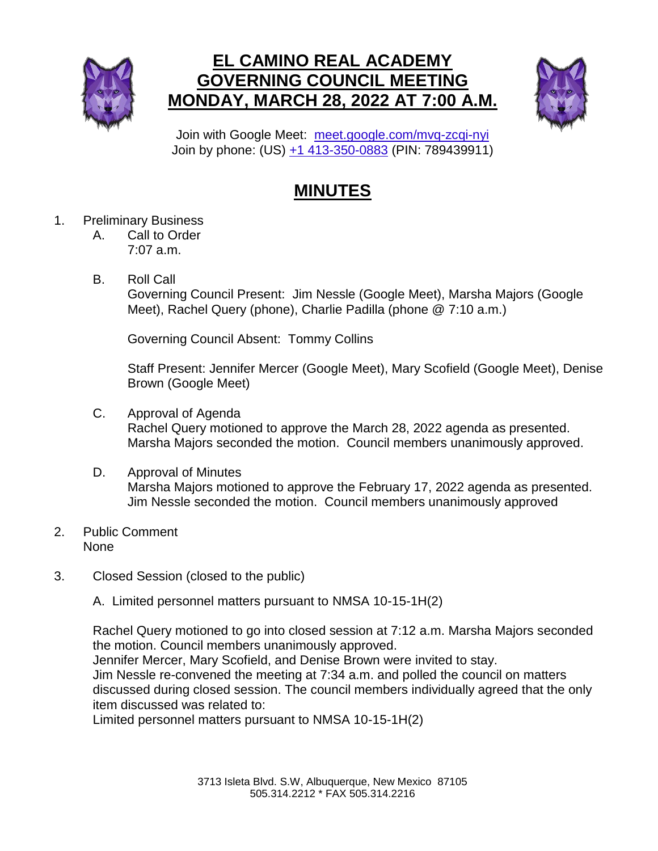

## **EL CAMINO REAL ACADEMY GOVERNING COUNCIL MEETING MONDAY, MARCH 28, 2022 AT 7:00 A.M.**



Join with Google Meet: [meet.google.com/mvq-zcqi-nyi](https://meet.google.com/mvq-zcqi-nyi?hs=224) Join by phone: (US) [+1 413-350-0883](tel:+1-413-350-0883;789439911) (PIN: 789439911)

## **MINUTES**

- 1. Preliminary Business
	- A. Call to Order 7:07 a.m.
	- B. Roll Call

Governing Council Present: Jim Nessle (Google Meet), Marsha Majors (Google Meet), Rachel Query (phone), Charlie Padilla (phone @ 7:10 a.m.)

Governing Council Absent: Tommy Collins

Staff Present: Jennifer Mercer (Google Meet), Mary Scofield (Google Meet), Denise Brown (Google Meet)

- C. Approval of Agenda Rachel Query motioned to approve the March 28, 2022 agenda as presented. Marsha Majors seconded the motion. Council members unanimously approved.
- D. Approval of Minutes Marsha Majors motioned to approve the February 17, 2022 agenda as presented. Jim Nessle seconded the motion. Council members unanimously approved
- 2. Public Comment None
- 3. Closed Session (closed to the public)

A. Limited personnel matters pursuant to NMSA 10-15-1H(2)

Rachel Query motioned to go into closed session at 7:12 a.m. Marsha Majors seconded the motion. Council members unanimously approved.

Jennifer Mercer, Mary Scofield, and Denise Brown were invited to stay. Jim Nessle re-convened the meeting at 7:34 a.m. and polled the council on matters discussed during closed session. The council members individually agreed that the only item discussed was related to:

Limited personnel matters pursuant to NMSA 10-15-1H(2)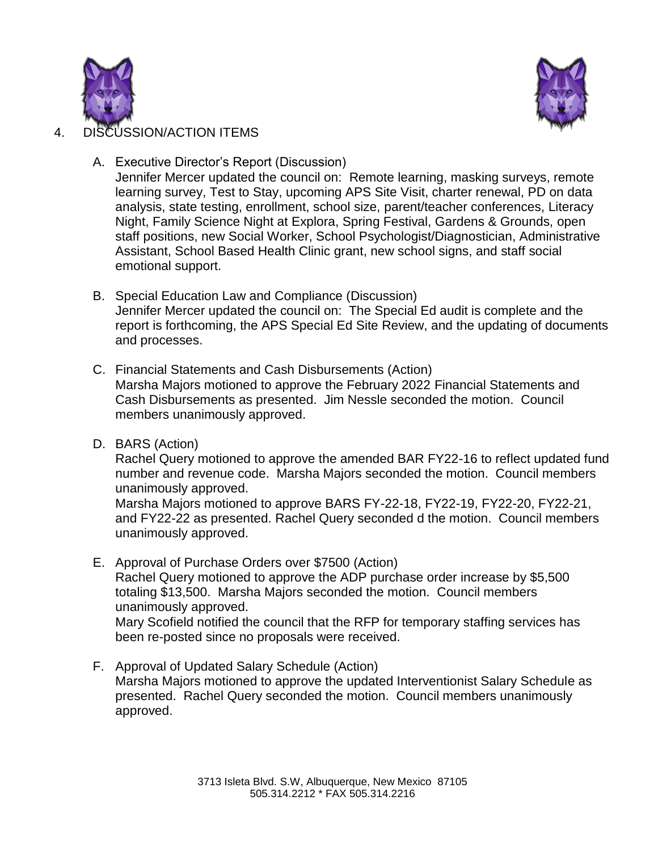



## 4. DISCUSSION/ACTION ITEMS

A. Executive Director's Report (Discussion)

Jennifer Mercer updated the council on: Remote learning, masking surveys, remote learning survey, Test to Stay, upcoming APS Site Visit, charter renewal, PD on data analysis, state testing, enrollment, school size, parent/teacher conferences, Literacy Night, Family Science Night at Explora, Spring Festival, Gardens & Grounds, open staff positions, new Social Worker, School Psychologist/Diagnostician, Administrative Assistant, School Based Health Clinic grant, new school signs, and staff social emotional support.

- B. Special Education Law and Compliance (Discussion) Jennifer Mercer updated the council on: The Special Ed audit is complete and the report is forthcoming, the APS Special Ed Site Review, and the updating of documents and processes.
- C. Financial Statements and Cash Disbursements (Action) Marsha Majors motioned to approve the February 2022 Financial Statements and Cash Disbursements as presented. Jim Nessle seconded the motion. Council members unanimously approved.
- D. BARS (Action)

Rachel Query motioned to approve the amended BAR FY22-16 to reflect updated fund number and revenue code. Marsha Majors seconded the motion. Council members unanimously approved.

Marsha Majors motioned to approve BARS FY-22-18, FY22-19, FY22-20, FY22-21, and FY22-22 as presented. Rachel Query seconded d the motion. Council members unanimously approved.

E. Approval of Purchase Orders over \$7500 (Action)

Rachel Query motioned to approve the ADP purchase order increase by \$5,500 totaling \$13,500. Marsha Majors seconded the motion. Council members unanimously approved.

Mary Scofield notified the council that the RFP for temporary staffing services has been re-posted since no proposals were received.

F. Approval of Updated Salary Schedule (Action) Marsha Majors motioned to approve the updated Interventionist Salary Schedule as presented. Rachel Query seconded the motion. Council members unanimously approved.